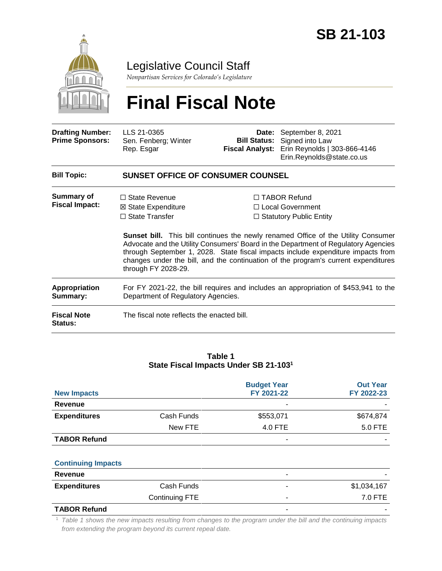

Legislative Council Staff

*Nonpartisan Services for Colorado's Legislature*

# **Final Fiscal Note**

| <b>Drafting Number:</b><br><b>Prime Sponsors:</b> | LLS 21-0365<br>Sen. Fenberg; Winter<br>Rep. Esgar                                                                         | <b>Bill Status:</b><br><b>Fiscal Analyst:</b> | Date: September 8, 2021<br>Signed into Law<br>Erin Reynolds   303-866-4146<br>Erin.Reynolds@state.co.us                                                                                                                                                                                                                                                                                                                                 |  |  |
|---------------------------------------------------|---------------------------------------------------------------------------------------------------------------------------|-----------------------------------------------|-----------------------------------------------------------------------------------------------------------------------------------------------------------------------------------------------------------------------------------------------------------------------------------------------------------------------------------------------------------------------------------------------------------------------------------------|--|--|
| <b>Bill Topic:</b>                                | <b>SUNSET OFFICE OF CONSUMER COUNSEL</b>                                                                                  |                                               |                                                                                                                                                                                                                                                                                                                                                                                                                                         |  |  |
| Summary of<br><b>Fiscal Impact:</b>               | $\Box$ State Revenue<br>⊠ State Expenditure<br>$\Box$ State Transfer<br>through FY 2028-29.                               |                                               | $\Box$ TABOR Refund<br>□ Local Government<br>$\Box$ Statutory Public Entity<br><b>Sunset bill.</b> This bill continues the newly renamed Office of the Utility Consumer<br>Advocate and the Utility Consumers' Board in the Department of Regulatory Agencies<br>through September 1, 2028. State fiscal impacts include expenditure impacts from<br>changes under the bill, and the continuation of the program's current expenditures |  |  |
| <b>Appropriation</b><br>Summary:                  | For FY 2021-22, the bill requires and includes an appropriation of \$453,941 to the<br>Department of Regulatory Agencies. |                                               |                                                                                                                                                                                                                                                                                                                                                                                                                                         |  |  |
| <b>Fiscal Note</b><br><b>Status:</b>              | The fiscal note reflects the enacted bill.                                                                                |                                               |                                                                                                                                                                                                                                                                                                                                                                                                                                         |  |  |

#### **Table 1 State Fiscal Impacts Under SB 21-103<sup>1</sup>**

|                           |                       | <b>Budget Year</b> | <b>Out Year</b> |
|---------------------------|-----------------------|--------------------|-----------------|
| <b>New Impacts</b>        |                       | FY 2021-22         | FY 2022-23      |
| Revenue                   |                       |                    |                 |
| <b>Expenditures</b>       | Cash Funds            | \$553,071          | \$674,874       |
|                           | New FTE               | 4.0 FTE            | 5.0 FTE         |
| <b>TABOR Refund</b>       |                       |                    |                 |
|                           |                       |                    |                 |
| <b>Continuing Impacts</b> |                       |                    |                 |
| Revenue                   |                       |                    |                 |
| <b>Expenditures</b>       | Cash Funds            |                    | \$1,034,167     |
|                           | <b>Continuing FTE</b> | ۰                  | 7.0 FTE         |
| <b>TABOR Refund</b>       |                       |                    |                 |

<sup>1</sup> *Table 1 shows the new impacts resulting from changes to the program under the bill and the continuing impacts from extending the program beyond its current repeal date.*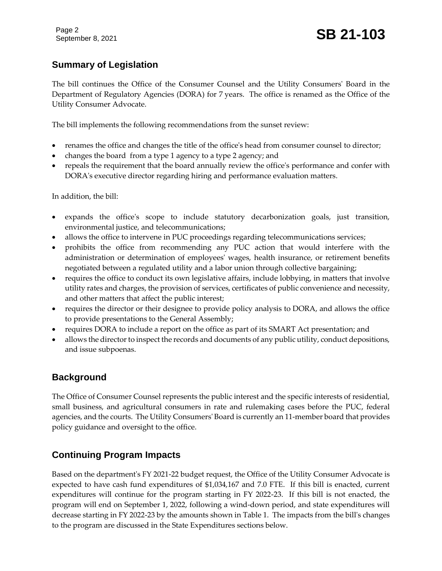# **Summary of Legislation**

The bill continues the Office of the Consumer Counsel and the Utility Consumers' Board in the Department of Regulatory Agencies (DORA) for 7 years. The office is renamed as the Office of the Utility Consumer Advocate.

The bill implements the following recommendations from the sunset review:

- renames the office and changes the title of the office's head from consumer counsel to director;
- changes the board from a type 1 agency to a type 2 agency; and
- repeals the requirement that the board annually review the office's performance and confer with DORA's executive director regarding hiring and performance evaluation matters.

In addition, the bill:

- expands the office's scope to include statutory decarbonization goals, just transition, environmental justice, and telecommunications;
- allows the office to intervene in PUC proceedings regarding telecommunications services;
- prohibits the office from recommending any PUC action that would interfere with the administration or determination of employees' wages, health insurance, or retirement benefits negotiated between a regulated utility and a labor union through collective bargaining;
- requires the office to conduct its own legislative affairs, include lobbying, in matters that involve utility rates and charges, the provision of services, certificates of public convenience and necessity, and other matters that affect the public interest;
- requires the director or their designee to provide policy analysis to DORA, and allows the office to provide presentations to the General Assembly;
- requires DORA to include a report on the office as part of its SMART Act presentation; and
- allows the director to inspect the records and documents of any public utility, conduct depositions, and issue subpoenas.

## **Background**

The Office of Consumer Counsel represents the public interest and the specific interests of residential, small business, and agricultural consumers in rate and rulemaking cases before the PUC, federal agencies, and the courts. The Utility Consumers' Board is currently an 11-member board that provides policy guidance and oversight to the office.

# **Continuing Program Impacts**

Based on the department's FY 2021-22 budget request, the Office of the Utility Consumer Advocate is expected to have cash fund expenditures of \$1,034,167 and 7.0 FTE. If this bill is enacted, current expenditures will continue for the program starting in FY 2022-23. If this bill is not enacted, the program will end on September 1, 2022, following a wind-down period, and state expenditures will decrease starting in FY 2022-23 by the amounts shown in Table 1. The impacts from the bill's changes to the program are discussed in the State Expenditures sections below.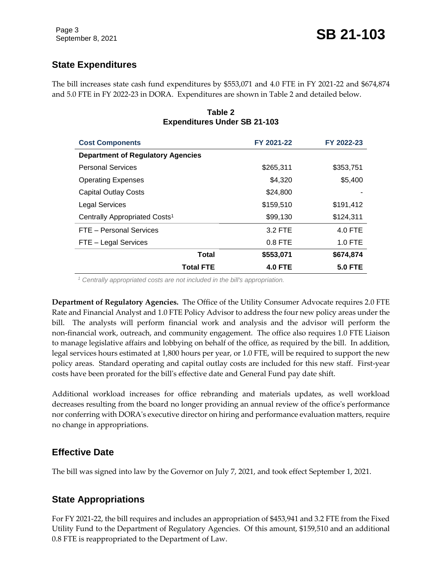# **State Expenditures**

The bill increases state cash fund expenditures by \$553,071 and 4.0 FTE in FY 2021-22 and \$674,874 and 5.0 FTE in FY 2022-23 in DORA. Expenditures are shown in Table 2 and detailed below.

| <b>Cost Components</b>                    | FY 2021-22     | FY 2022-23     |
|-------------------------------------------|----------------|----------------|
| <b>Department of Regulatory Agencies</b>  |                |                |
| <b>Personal Services</b>                  | \$265,311      | \$353,751      |
| <b>Operating Expenses</b>                 | \$4,320        | \$5,400        |
| <b>Capital Outlay Costs</b>               | \$24,800       |                |
| <b>Legal Services</b>                     | \$159,510      | \$191,412      |
| Centrally Appropriated Costs <sup>1</sup> | \$99,130       | \$124,311      |
| FTE - Personal Services                   | 3.2 FTE        | 4.0 FTE        |
| FTE - Legal Services                      | $0.8$ FTE      | 1.0 FTE        |
| <b>Total</b>                              | \$553,071      | \$674,874      |
| <b>Total FTE</b>                          | <b>4.0 FTE</b> | <b>5.0 FTE</b> |

#### **Table 2 Expenditures Under SB 21-103**

*<sup>1</sup> Centrally appropriated costs are not included in the bill's appropriation.*

**Department of Regulatory Agencies.** The Office of the Utility Consumer Advocate requires 2.0 FTE Rate and Financial Analyst and 1.0 FTE Policy Advisor to address the four new policy areas under the bill. The analysts will perform financial work and analysis and the advisor will perform the non-financial work, outreach, and community engagement. The office also requires 1.0 FTE Liaison to manage legislative affairs and lobbying on behalf of the office, as required by the bill. In addition, legal services hours estimated at 1,800 hours per year, or 1.0 FTE, will be required to support the new policy areas. Standard operating and capital outlay costs are included for this new staff. First-year costs have been prorated for the bill's effective date and General Fund pay date shift.

Additional workload increases for office rebranding and materials updates, as well workload decreases resulting from the board no longer providing an annual review of the office's performance nor conferring with DORA's executive director on hiring and performance evaluation matters, require no change in appropriations.

#### **Effective Date**

The bill was signed into law by the Governor on July 7, 2021, and took effect September 1, 2021.

## **State Appropriations**

For FY 2021-22, the bill requires and includes an appropriation of \$453,941 and 3.2 FTE from the Fixed Utility Fund to the Department of Regulatory Agencies. Of this amount, \$159,510 and an additional 0.8 FTE is reappropriated to the Department of Law.